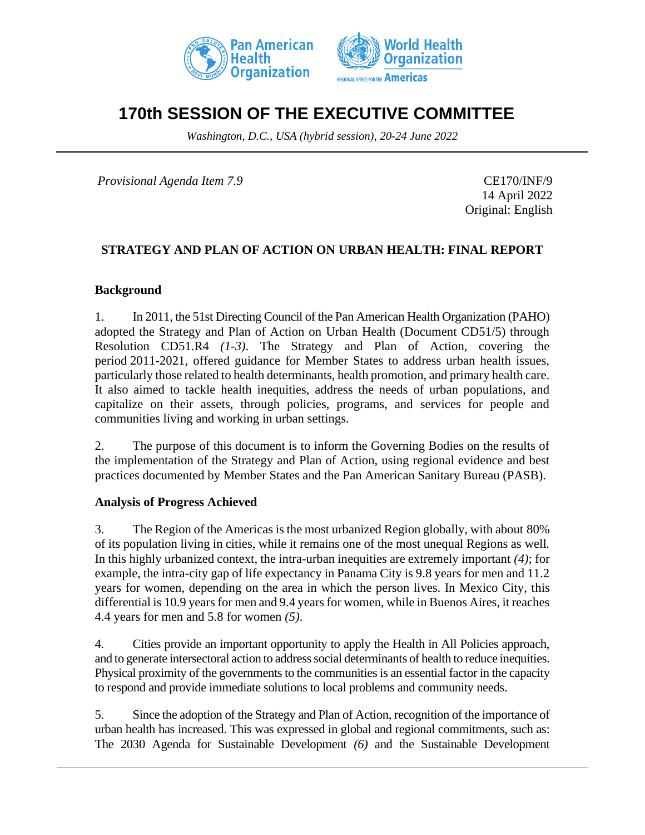



# **170th SESSION OF THE EXECUTIVE COMMITTEE**

*Washington, D.C., USA (hybrid session), 20-24 June 2022*

*Provisional Agenda Item 7.9* CE170/INF/9

14 April 2022 Original: English

# **STRATEGY AND PLAN OF ACTION ON URBAN HEALTH: FINAL REPORT**

#### **Background**

1. In 2011, the 51st Directing Council of the Pan American Health Organization (PAHO) adopted the Strategy and Plan of Action on Urban Health (Document CD51/5) through Resolution CD51.R4 *(1-3)*. The Strategy and Plan of Action, covering the period 2011-2021, offered guidance for Member States to address urban health issues, particularly those related to health determinants, health promotion, and primary health care. It also aimed to tackle health inequities, address the needs of urban populations, and capitalize on their assets, through policies, programs, and services for people and communities living and working in urban settings.

2. The purpose of this document is to inform the Governing Bodies on the results of the implementation of the Strategy and Plan of Action, using regional evidence and best practices documented by Member States and the Pan American Sanitary Bureau (PASB).

#### **Analysis of Progress Achieved**

3. The Region of the Americas is the most urbanized Region globally, with about 80% of its population living in cities, while it remains one of the most unequal Regions as well*.*  In this highly urbanized context, the intra-urban inequities are extremely important *(4)*; for example, the intra-city gap of life expectancy in Panama City is 9.8 years for men and 11.2 years for women, depending on the area in which the person lives. In Mexico City, this differential is 10.9 years for men and 9.4 years for women, while in Buenos Aires, it reaches 4.4 years for men and 5.8 for women *(5)*.

4. Cities provide an important opportunity to apply the Health in All Policies approach, and to generate intersectoral action to address social determinants of health to reduce inequities. Physical proximity of the governments to the communities is an essential factor in the capacity to respond and provide immediate solutions to local problems and community needs.

5. Since the adoption of the Strategy and Plan of Action, recognition of the importance of urban health has increased. This was expressed in global and regional commitments, such as: The 2030 Agenda for Sustainable Development *(6)* and the Sustainable Development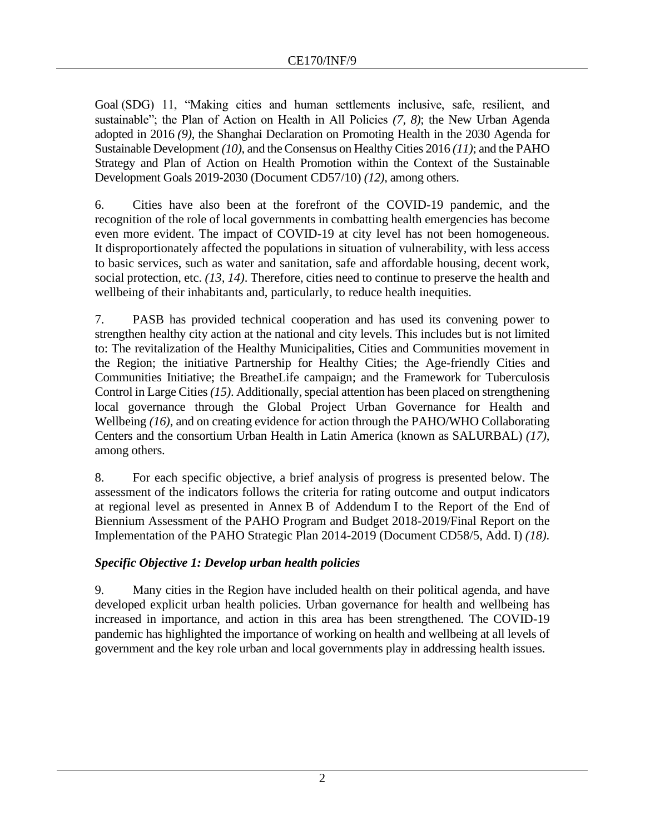Goal (SDG) 11, "Making cities and human settlements inclusive, safe, resilient, and sustainable"; the Plan of Action on Health in All Policies *(7, 8)*; the New Urban Agenda adopted in 2016 *(9)*, the Shanghai Declaration on Promoting Health in the 2030 Agenda for Sustainable Development *(10)*, and the Consensus on Healthy Cities 2016 *(11)*; and the PAHO Strategy and Plan of Action on Health Promotion within the Context of the Sustainable Development Goals 2019-2030 (Document CD57/10) *(12)*, among others.

6. Cities have also been at the forefront of the COVID-19 pandemic, and the recognition of the role of local governments in combatting health emergencies has become even more evident. The impact of COVID-19 at city level has not been homogeneous. It disproportionately affected the populations in situation of vulnerability, with less access to basic services, such as water and sanitation, safe and affordable housing, decent work, social protection, etc. *(13, 14)*. Therefore, cities need to continue to preserve the health and wellbeing of their inhabitants and, particularly, to reduce health inequities.

7. PASB has provided technical cooperation and has used its convening power to strengthen healthy city action at the national and city levels. This includes but is not limited to: The revitalization of the Healthy Municipalities, Cities and Communities movement in the Region; the initiative Partnership for Healthy Cities; the Age-friendly Cities and Communities Initiative; the BreatheLife campaign; and the Framework for Tuberculosis Control in Large Cities *(15)*. Additionally, special attention has been placed on strengthening local governance through the Global Project Urban Governance for Health and Wellbeing *(16)*, and on creating evidence for action through the PAHO/WHO Collaborating Centers and the consortium Urban Health in Latin America (known as SALURBAL) *(17)*, among others.

8. For each specific objective, a brief analysis of progress is presented below. The assessment of the indicators follows the criteria for rating outcome and output indicators at regional level as presented in Annex B of Addendum I to the Report of the End of Biennium Assessment of the PAHO Program and Budget 2018-2019/Final Report on the Implementation of the PAHO Strategic Plan 2014-2019 (Document CD58/5, Add. I) *(18)*.

# *Specific Objective 1: Develop urban health policies*

9. Many cities in the Region have included health on their political agenda, and have developed explicit urban health policies. Urban governance for health and wellbeing has increased in importance, and action in this area has been strengthened. The COVID-19 pandemic has highlighted the importance of working on health and wellbeing at all levels of government and the key role urban and local governments play in addressing health issues.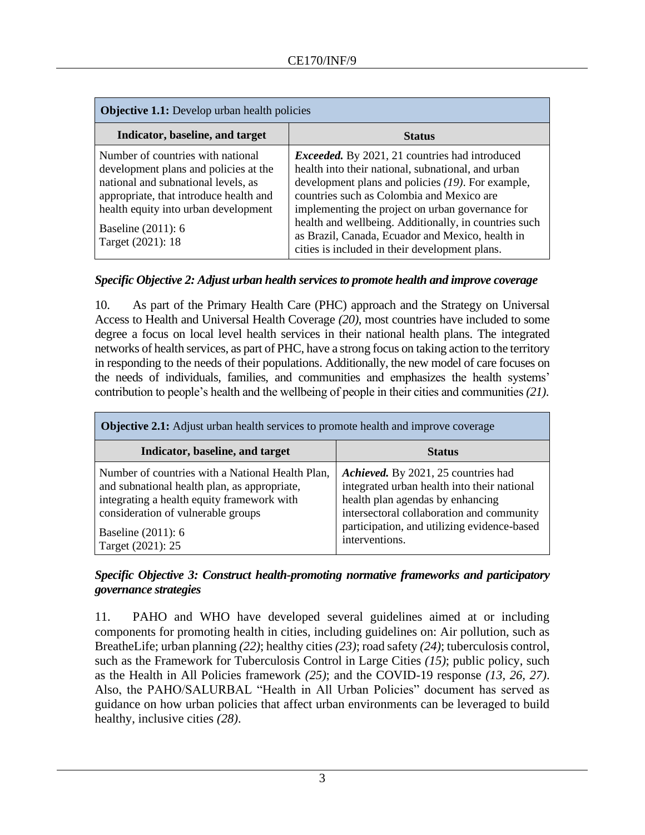| <b>Objective 1.1:</b> Develop urban health policies                                                                                                                                                                                            |                                                                                                                                                                                                                                                                                                                                                                                                                                  |
|------------------------------------------------------------------------------------------------------------------------------------------------------------------------------------------------------------------------------------------------|----------------------------------------------------------------------------------------------------------------------------------------------------------------------------------------------------------------------------------------------------------------------------------------------------------------------------------------------------------------------------------------------------------------------------------|
| Indicator, baseline, and target                                                                                                                                                                                                                | <b>Status</b>                                                                                                                                                                                                                                                                                                                                                                                                                    |
| Number of countries with national<br>development plans and policies at the<br>national and subnational levels, as<br>appropriate, that introduce health and<br>health equity into urban development<br>Baseline (2011): 6<br>Target (2021): 18 | <i>Exceeded.</i> By 2021, 21 countries had introduced<br>health into their national, subnational, and urban<br>development plans and policies (19). For example,<br>countries such as Colombia and Mexico are<br>implementing the project on urban governance for<br>health and wellbeing. Additionally, in countries such<br>as Brazil, Canada, Ecuador and Mexico, health in<br>cities is included in their development plans. |

## *Specific Objective 2: Adjust urban health services to promote health and improve coverage*

10. As part of the Primary Health Care (PHC) approach and the Strategy on Universal Access to Health and Universal Health Coverage *(20)*, most countries have included to some degree a focus on local level health services in their national health plans. The integrated networks of health services, as part of PHC, have a strong focus on taking action to the territory in responding to the needs of their populations. Additionally, the new model of care focuses on the needs of individuals, families, and communities and emphasizes the health systems' contribution to people's health and the wellbeing of people in their cities and communities *(21)*.

| <b>Objective 2.1:</b> Adjust urban health services to promote health and improve coverage                                                                                                                                          |                                                                                                                                                                                                                                      |  |
|------------------------------------------------------------------------------------------------------------------------------------------------------------------------------------------------------------------------------------|--------------------------------------------------------------------------------------------------------------------------------------------------------------------------------------------------------------------------------------|--|
| Indicator, baseline, and target                                                                                                                                                                                                    | <b>Status</b>                                                                                                                                                                                                                        |  |
| Number of countries with a National Health Plan,<br>and subnational health plan, as appropriate,<br>integrating a health equity framework with<br>consideration of vulnerable groups<br>Baseline $(2011)$ : 6<br>Target (2021): 25 | Achieved. By 2021, 25 countries had<br>integrated urban health into their national<br>health plan agendas by enhancing<br>intersectoral collaboration and community<br>participation, and utilizing evidence-based<br>interventions. |  |

## *Specific Objective 3: Construct health-promoting normative frameworks and participatory governance strategies*

11. PAHO and WHO have developed several guidelines aimed at or including components for promoting health in cities, including guidelines on: Air pollution, such as BreatheLife; urban planning *(22)*; healthy cities *(23)*; road safety *(24)*; tuberculosis control, such as the Framework for Tuberculosis Control in Large Cities *(15)*; public policy, such as the Health in All Policies framework *(25)*; and the COVID-19 response *(13, 26, 27)*. Also, the PAHO/SALURBAL "Health in All Urban Policies" document has served as guidance on how urban policies that affect urban environments can be leveraged to build healthy, inclusive cities *(28)*.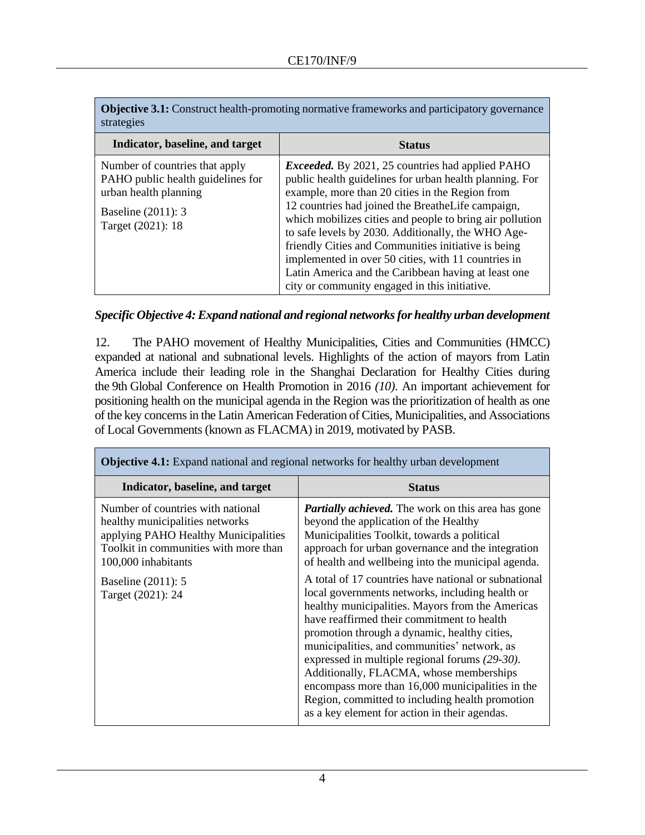| <b>Objective 3.1:</b> Construct health-promoting normative frameworks and participatory governance |  |
|----------------------------------------------------------------------------------------------------|--|
| strategies                                                                                         |  |

| Indicator, baseline, and target                                                                                                         | <b>Status</b>                                                                                                                                                                                                                                                                                                                                                                                                                                                                                                                                                      |
|-----------------------------------------------------------------------------------------------------------------------------------------|--------------------------------------------------------------------------------------------------------------------------------------------------------------------------------------------------------------------------------------------------------------------------------------------------------------------------------------------------------------------------------------------------------------------------------------------------------------------------------------------------------------------------------------------------------------------|
| Number of countries that apply<br>PAHO public health guidelines for<br>urban health planning<br>Baseline (2011): 3<br>Target (2021): 18 | <i>Exceeded.</i> By 2021, 25 countries had applied PAHO<br>public health guidelines for urban health planning. For<br>example, more than 20 cities in the Region from<br>12 countries had joined the BreatheLife campaign,<br>which mobilizes cities and people to bring air pollution<br>to safe levels by 2030. Additionally, the WHO Age-<br>friendly Cities and Communities initiative is being<br>implemented in over 50 cities, with 11 countries in<br>Latin America and the Caribbean having at least one<br>city or community engaged in this initiative. |

#### *Specific Objective 4: Expand national and regional networks for healthy urban development*

12. The PAHO movement of Healthy Municipalities, Cities and Communities (HMCC) expanded at national and subnational levels. Highlights of the action of mayors from Latin America include their leading role in the Shanghai Declaration for Healthy Cities during the 9th Global Conference on Health Promotion in 2016 *(10)*. An important achievement for positioning health on the municipal agenda in the Region was the prioritization of health as one of the key concerns in the Latin American Federation of Cities, Municipalities, and Associations of Local Governments (known as FLACMA) in 2019, motivated by PASB.

| <b>Objective 4.1:</b> Expand national and regional networks for healthy urban development                                                                                                                               |                                                                                                                                                                                                                                                                                                                                                                                                                                                                                                                                                                                                                                                                                                                                                                                                                                |  |
|-------------------------------------------------------------------------------------------------------------------------------------------------------------------------------------------------------------------------|--------------------------------------------------------------------------------------------------------------------------------------------------------------------------------------------------------------------------------------------------------------------------------------------------------------------------------------------------------------------------------------------------------------------------------------------------------------------------------------------------------------------------------------------------------------------------------------------------------------------------------------------------------------------------------------------------------------------------------------------------------------------------------------------------------------------------------|--|
| Indicator, baseline, and target                                                                                                                                                                                         | <b>Status</b>                                                                                                                                                                                                                                                                                                                                                                                                                                                                                                                                                                                                                                                                                                                                                                                                                  |  |
| Number of countries with national<br>healthy municipalities networks<br>applying PAHO Healthy Municipalities<br>Toolkit in communities with more than<br>100,000 inhabitants<br>Baseline (2011): 5<br>Target (2021): 24 | <b>Partially achieved.</b> The work on this area has gone<br>beyond the application of the Healthy<br>Municipalities Toolkit, towards a political<br>approach for urban governance and the integration<br>of health and wellbeing into the municipal agenda.<br>A total of 17 countries have national or subnational<br>local governments networks, including health or<br>healthy municipalities. Mayors from the Americas<br>have reaffirmed their commitment to health<br>promotion through a dynamic, healthy cities,<br>municipalities, and communities' network, as<br>expressed in multiple regional forums (29-30).<br>Additionally, FLACMA, whose memberships<br>encompass more than 16,000 municipalities in the<br>Region, committed to including health promotion<br>as a key element for action in their agendas. |  |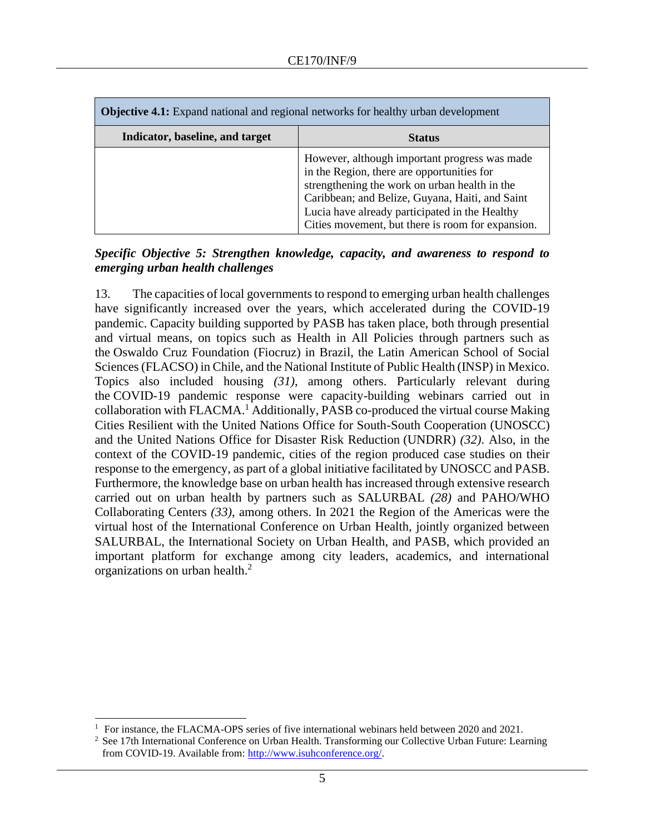| <b>Objective 4.1:</b> Expand national and regional networks for healthy urban development |                                                                                                                                                                                                                                                                                                        |
|-------------------------------------------------------------------------------------------|--------------------------------------------------------------------------------------------------------------------------------------------------------------------------------------------------------------------------------------------------------------------------------------------------------|
| Indicator, baseline, and target                                                           | <b>Status</b>                                                                                                                                                                                                                                                                                          |
|                                                                                           | However, although important progress was made<br>in the Region, there are opportunities for<br>strengthening the work on urban health in the<br>Caribbean; and Belize, Guyana, Haiti, and Saint<br>Lucia have already participated in the Healthy<br>Cities movement, but there is room for expansion. |

### *Specific Objective 5: Strengthen knowledge, capacity, and awareness to respond to emerging urban health challenges*

13. The capacities of local governments to respond to emerging urban health challenges have significantly increased over the years, which accelerated during the COVID-19 pandemic. Capacity building supported by PASB has taken place, both through presential and virtual means, on topics such as Health in All Policies through partners such as the Oswaldo Cruz Foundation (Fiocruz) in Brazil, the Latin American School of Social Sciences (FLACSO) in Chile, and the National Institute of Public Health (INSP) in Mexico. Topics also included housing *(31)*, among others. Particularly relevant during the COVID-19 pandemic response were capacity-building webinars carried out in collaboration with FLACMA.<sup>1</sup> Additionally, PASB co-produced the virtual course Making Cities Resilient with the United Nations Office for South-South Cooperation (UNOSCC) and the United Nations Office for Disaster Risk Reduction (UNDRR) *(32)*. Also, in the context of the COVID-19 pandemic, cities of the region produced case studies on their response to the emergency, as part of a global initiative facilitated by UNOSCC and PASB. Furthermore, the knowledge base on urban health has increased through extensive research carried out on urban health by partners such as SALURBAL *(28)* and PAHO/WHO Collaborating Centers *(33)*, among others. In 2021 the Region of the Americas were the virtual host of the International Conference on Urban Health, jointly organized between SALURBAL, the International Society on Urban Health, and PASB, which provided an important platform for exchange among city leaders, academics, and international organizations on urban health. $<sup>2</sup>$ </sup>

<sup>&</sup>lt;sup>1</sup> For instance, the FLACMA-OPS series of five international webinars held between 2020 and 2021.

<sup>&</sup>lt;sup>2</sup> See 17th International Conference on Urban Health. Transforming our Collective Urban Future: Learning from COVID-19. Available from: [http://www.isuhconference.org/.](http://www.isuhconference.org/)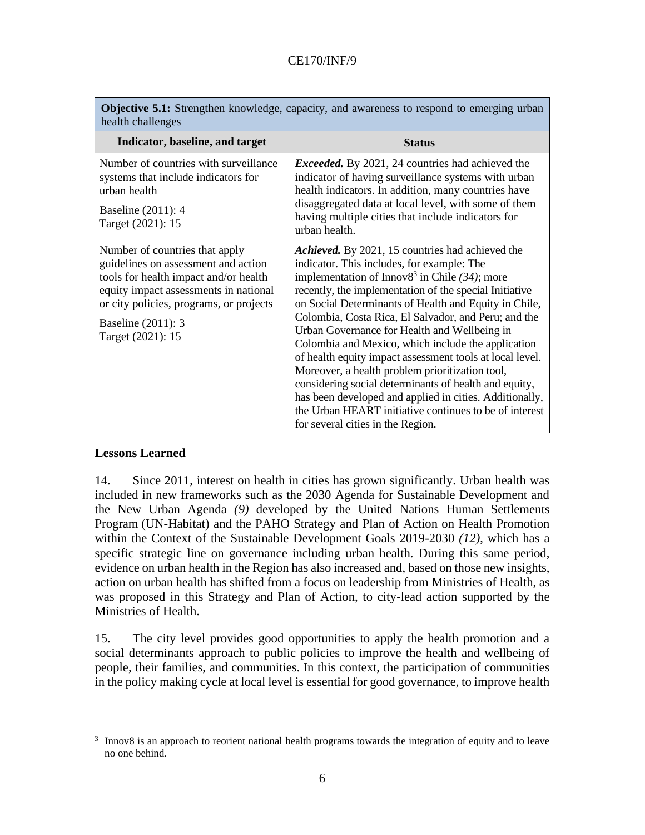| <b>Objective 5.1:</b> Strengthen knowledge, capacity, and awareness to respond to emerging urban<br>health challenges                                                                                                                         |                                                                                                                                                                                                                                                                                                                                                                                                                                                                                                                                                                                                                                                                                                                                                                        |
|-----------------------------------------------------------------------------------------------------------------------------------------------------------------------------------------------------------------------------------------------|------------------------------------------------------------------------------------------------------------------------------------------------------------------------------------------------------------------------------------------------------------------------------------------------------------------------------------------------------------------------------------------------------------------------------------------------------------------------------------------------------------------------------------------------------------------------------------------------------------------------------------------------------------------------------------------------------------------------------------------------------------------------|
| Indicator, baseline, and target                                                                                                                                                                                                               | <b>Status</b>                                                                                                                                                                                                                                                                                                                                                                                                                                                                                                                                                                                                                                                                                                                                                          |
| Number of countries with surveillance<br>systems that include indicators for<br>urban health<br>Baseline (2011): 4<br>Target (2021): 15                                                                                                       | <i>Exceeded.</i> By 2021, 24 countries had achieved the<br>indicator of having surveillance systems with urban<br>health indicators. In addition, many countries have<br>disaggregated data at local level, with some of them<br>having multiple cities that include indicators for<br>urban health.                                                                                                                                                                                                                                                                                                                                                                                                                                                                   |
| Number of countries that apply<br>guidelines on assessment and action<br>tools for health impact and/or health<br>equity impact assessments in national<br>or city policies, programs, or projects<br>Baseline (2011): 3<br>Target (2021): 15 | Achieved. By 2021, 15 countries had achieved the<br>indicator. This includes, for example: The<br>implementation of Innov $8^3$ in Chile (34); more<br>recently, the implementation of the special Initiative<br>on Social Determinants of Health and Equity in Chile,<br>Colombia, Costa Rica, El Salvador, and Peru; and the<br>Urban Governance for Health and Wellbeing in<br>Colombia and Mexico, which include the application<br>of health equity impact assessment tools at local level.<br>Moreover, a health problem prioritization tool,<br>considering social determinants of health and equity,<br>has been developed and applied in cities. Additionally,<br>the Urban HEART initiative continues to be of interest<br>for several cities in the Region. |

**Objective 5.1:** Strengthen knowledge, capacity, and awareness to respond to emerging urban

# **Lessons Learned**

14. Since 2011, interest on health in cities has grown significantly. Urban health was included in new frameworks such as the 2030 Agenda for Sustainable Development and the New Urban Agenda *(9)* developed by the United Nations Human Settlements Program (UN-Habitat) and the PAHO Strategy and Plan of Action on Health Promotion within the Context of the Sustainable Development Goals 2019-2030 *(12)*, which has a specific strategic line on governance including urban health. During this same period, evidence on urban health in the Region has also increased and, based on those new insights, action on urban health has shifted from a focus on leadership from Ministries of Health, as was proposed in this Strategy and Plan of Action, to city-lead action supported by the Ministries of Health.

15. The city level provides good opportunities to apply the health promotion and a social determinants approach to public policies to improve the health and wellbeing of people, their families, and communities. In this context, the participation of communities in the policy making cycle at local level is essential for good governance, to improve health

<sup>3</sup> Innov8 is an approach to reorient national health programs towards the integration of equity and to leave no one behind.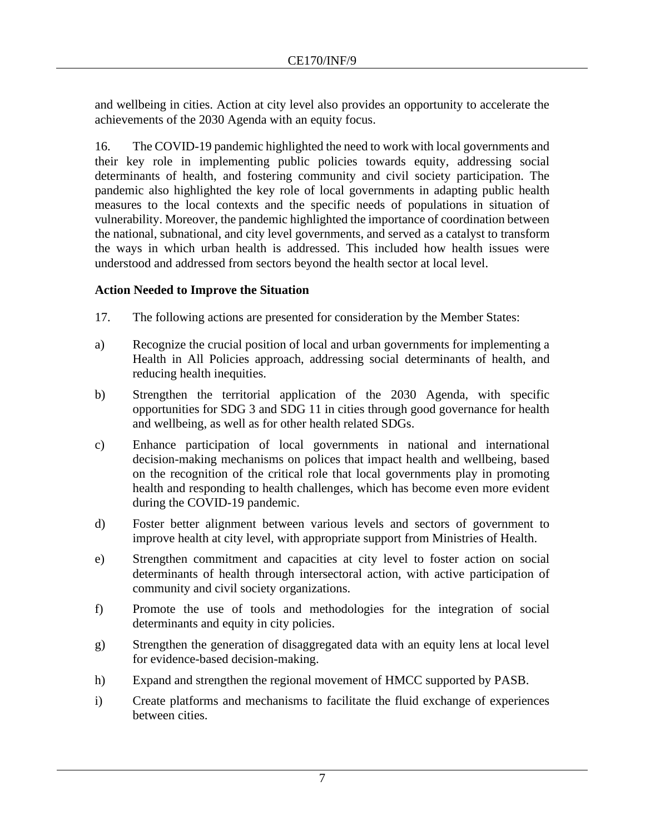and wellbeing in cities. Action at city level also provides an opportunity to accelerate the achievements of the 2030 Agenda with an equity focus.

16. The COVID-19 pandemic highlighted the need to work with local governments and their key role in implementing public policies towards equity, addressing social determinants of health, and fostering community and civil society participation. The pandemic also highlighted the key role of local governments in adapting public health measures to the local contexts and the specific needs of populations in situation of vulnerability. Moreover, the pandemic highlighted the importance of coordination between the national, subnational, and city level governments, and served as a catalyst to transform the ways in which urban health is addressed. This included how health issues were understood and addressed from sectors beyond the health sector at local level.

# **Action Needed to Improve the Situation**

- 17. The following actions are presented for consideration by the Member States:
- a) Recognize the crucial position of local and urban governments for implementing a Health in All Policies approach, addressing social determinants of health, and reducing health inequities.
- b) Strengthen the territorial application of the 2030 Agenda, with specific opportunities for SDG 3 and SDG 11 in cities through good governance for health and wellbeing, as well as for other health related SDGs.
- c) Enhance participation of local governments in national and international decision-making mechanisms on polices that impact health and wellbeing, based on the recognition of the critical role that local governments play in promoting health and responding to health challenges, which has become even more evident during the COVID-19 pandemic.
- d) Foster better alignment between various levels and sectors of government to improve health at city level, with appropriate support from Ministries of Health.
- e) Strengthen commitment and capacities at city level to foster action on social determinants of health through intersectoral action, with active participation of community and civil society organizations.
- f) Promote the use of tools and methodologies for the integration of social determinants and equity in city policies.
- g) Strengthen the generation of disaggregated data with an equity lens at local level for evidence-based decision-making.
- h) Expand and strengthen the regional movement of HMCC supported by PASB.
- i) Create platforms and mechanisms to facilitate the fluid exchange of experiences between cities.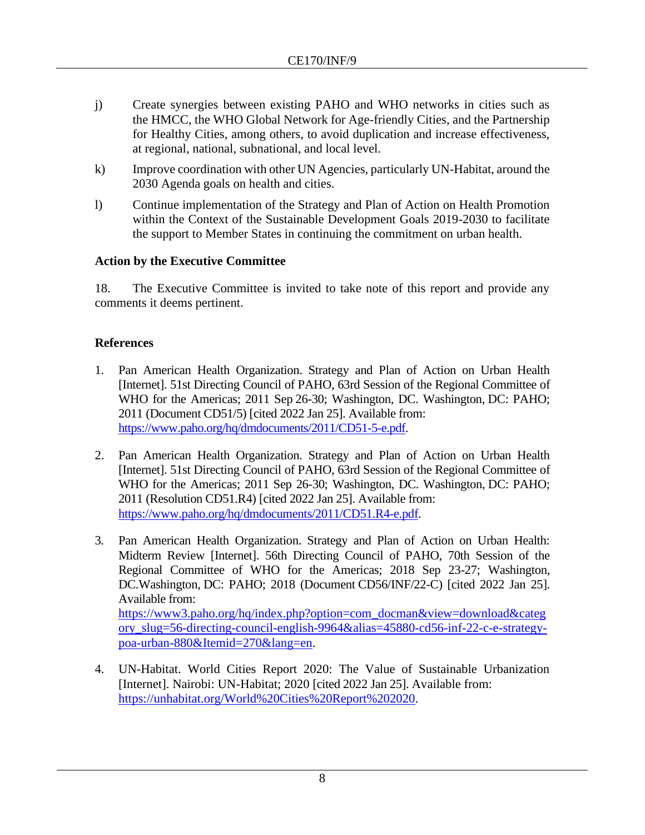- j) Create synergies between existing PAHO and WHO networks in cities such as the HMCC, the WHO Global Network for Age-friendly Cities, and the Partnership for Healthy Cities, among others, to avoid duplication and increase effectiveness, at regional, national, subnational, and local level.
- k) Improve coordination with other UN Agencies, particularly UN-Habitat, around the 2030 Agenda goals on health and cities.
- l) Continue implementation of the Strategy and Plan of Action on Health Promotion within the Context of the Sustainable Development Goals 2019-2030 to facilitate the support to Member States in continuing the commitment on urban health.

# **Action by the Executive Committee**

18. The Executive Committee is invited to take note of this report and provide any comments it deems pertinent.

# **References**

- 1. Pan American Health Organization. Strategy and Plan of Action on Urban Health [Internet]. 51st Directing Council of PAHO, 63rd Session of the Regional Committee of WHO for the Americas; 2011 Sep 26-30; Washington, DC. Washington, DC: PAHO; 2011 (Document CD51/5) [cited 2022 Jan 25]. Available from: [https://www.paho.org/hq/dmdocuments/2011/CD51-5-e.pdf.](https://www.paho.org/hq/dmdocuments/2011/CD51-5-e.pdf)
- 2. Pan American Health Organization. Strategy and Plan of Action on Urban Health [Internet]. 51st Directing Council of PAHO, 63rd Session of the Regional Committee of WHO for the Americas; 2011 Sep 26-30; Washington, DC. Washington, DC: PAHO; 2011 (Resolution CD51.R4) [cited 2022 Jan 25]. Available from: [https://www.paho.org/hq/dmdocuments/2011/CD51.R4-e.pdf.](https://www.paho.org/hq/dmdocuments/2011/CD51.R4-e.pdf)
- 3. Pan American Health Organization. Strategy and Plan of Action on Urban Health: Midterm Review [Internet]. 56th Directing Council of PAHO, 70th Session of the Regional Committee of WHO for the Americas; 2018 Sep 23-27; Washington, DC.Washington, DC: PAHO; 2018 (Document CD56/INF/22-C) [cited 2022 Jan 25]. Available from: [https://www3.paho.org/hq/index.php?option=com\\_docman&view=download&categ](https://www3.paho.org/hq/index.php?option=com_docman&view=download&category_slug=56-directing-council-english-9964&alias=45880-cd56-inf-22-c-e-strategy-poa-urban-880&Itemid=270&lang=en) [ory\\_slug=56-directing-council-english-9964&alias=45880-cd56-inf-22-c-e-strategy](https://www3.paho.org/hq/index.php?option=com_docman&view=download&category_slug=56-directing-council-english-9964&alias=45880-cd56-inf-22-c-e-strategy-poa-urban-880&Itemid=270&lang=en)[poa-urban-880&Itemid=270&lang=en.](https://www3.paho.org/hq/index.php?option=com_docman&view=download&category_slug=56-directing-council-english-9964&alias=45880-cd56-inf-22-c-e-strategy-poa-urban-880&Itemid=270&lang=en)
- 4. UN-Habitat. World Cities Report 2020: The Value of Sustainable Urbanization [Internet]. Nairobi: UN-Habitat; 2020 [cited 2022 Jan 25]. Available from: [https://unhabitat.org/World%20Cities%20Report%202020.](https://unhabitat.org/World%20Cities%20Report%202020)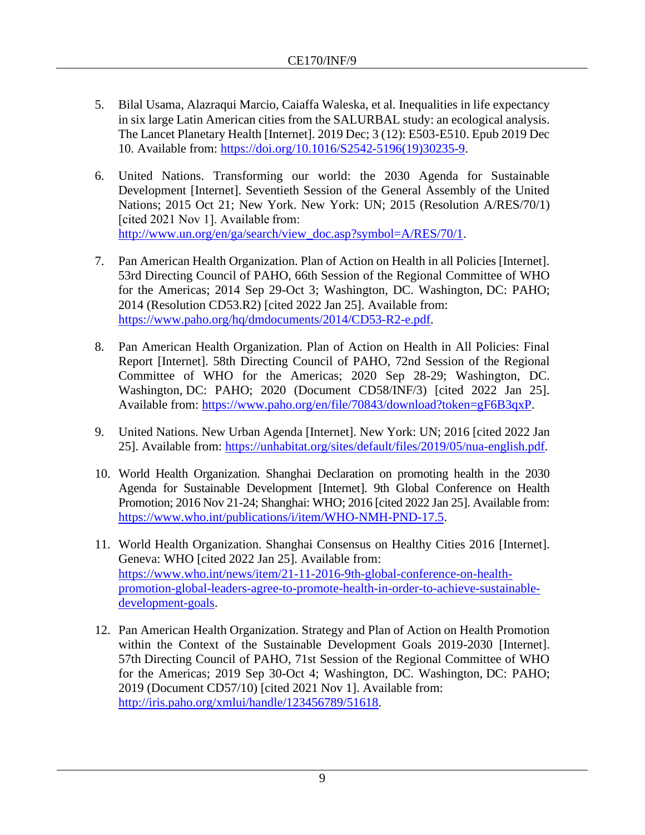- 5. Bilal Usama, Alazraqui Marcio, Caiaffa Waleska, et al. Inequalities in life expectancy in six large Latin American cities from the SALURBAL study: an ecological analysis. The Lancet Planetary Health [Internet]. 2019 Dec; 3 (12): E503-E510. Epub 2019 Dec 10. Available from: [https://doi.org/10.1016/S2542-5196\(19\)30235-9.](https://doi.org/10.1016/S2542-5196(19)30235-9)
- 6. United Nations. Transforming our world: the 2030 Agenda for Sustainable Development [Internet]. Seventieth Session of the General Assembly of the United Nations; 2015 Oct 21; New York. New York: UN; 2015 (Resolution A/RES/70/1) [cited 2021 Nov 1]. Available from: http://www.un.org/en/ga/search/view\_doc.asp?symbol=A/RES/70/1.
- 7. Pan American Health Organization. Plan of Action on Health in all Policies [Internet]. 53rd Directing Council of PAHO, 66th Session of the Regional Committee of WHO for the Americas; 2014 Sep 29-Oct 3; Washington, DC. Washington, DC: PAHO; 2014 (Resolution CD53.R2) [cited 2022 Jan 25]. Available from: [https://www.paho.org/hq/dmdocuments/2014/CD53-R2-e.pdf.](https://www.paho.org/hq/dmdocuments/2014/CD53-R2-e.pdf)
- 8. Pan American Health Organization. Plan of Action on Health in All Policies: Final Report [Internet]. 58th Directing Council of PAHO, 72nd Session of the Regional Committee of WHO for the Americas; 2020 Sep 28-29; Washington, DC. Washington, DC: PAHO; 2020 (Document CD58/INF/3) [cited 2022 Jan 25]. Available from: [https://www.paho.org/en/file/70843/download?token=gF6B3qxP.](https://www.paho.org/en/file/70843/download?token=gF6B3qxP)
- 9. United Nations. New Urban Agenda [Internet]. New York: UN; 2016 [cited 2022 Jan 25]. Available from: [https://unhabitat.org/sites/default/files/2019/05/nua-english.pdf.](https://unhabitat.org/sites/default/files/2019/05/nua-english.pdf)
- 10. World Health Organization. Shanghai Declaration on promoting health in the 2030 Agenda for Sustainable Development [Internet]. 9th Global Conference on Health Promotion; 2016 Nov 21-24; Shanghai: WHO; 2016 [cited 2022 Jan 25]. Available from: [https://www.who.int/publications/i/item/WHO-NMH-PND-17.5.](https://www.who.int/publications/i/item/WHO-NMH-PND-17.5)
- 11. World Health Organization. Shanghai Consensus on Healthy Cities 2016 [Internet]. Geneva: WHO [cited 2022 Jan 25]. Available from: [https://www.who.int/news/item/21-11-2016-9th-global-conference-on-health](https://www.who.int/news/item/21-11-2016-9th-global-conference-on-health-promotion-global-leaders-agree-to-promote-health-in-order-to-achieve-sustainable-development-goals)[promotion-global-leaders-agree-to-promote-health-in-order-to-achieve-sustainable](https://www.who.int/news/item/21-11-2016-9th-global-conference-on-health-promotion-global-leaders-agree-to-promote-health-in-order-to-achieve-sustainable-development-goals)[development-goals.](https://www.who.int/news/item/21-11-2016-9th-global-conference-on-health-promotion-global-leaders-agree-to-promote-health-in-order-to-achieve-sustainable-development-goals)
- 12. Pan American Health Organization. Strategy and Plan of Action on Health Promotion within the Context of the Sustainable Development Goals 2019-2030 [Internet]. 57th Directing Council of PAHO, 71st Session of the Regional Committee of WHO for the Americas; 2019 Sep 30-Oct 4; Washington, DC. Washington, DC: PAHO; 2019 (Document CD57/10) [cited 2021 Nov 1]. Available from: [http://iris.paho.org/xmlui/handle/123456789/51618.](http://iris.paho.org/xmlui/handle/123456789/51618)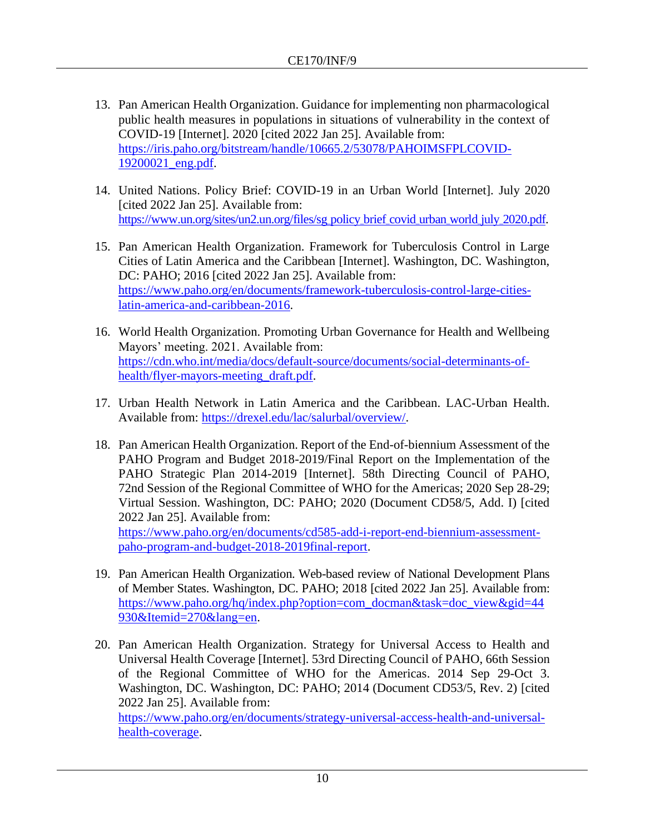- 13. Pan American Health Organization. Guidance for implementing non pharmacological public health measures in populations in situations of vulnerability in the context of COVID-19 [Internet]. 2020 [cited 2022 Jan 25]. Available from: [https://iris.paho.org/bitstream/handle/10665.2/53078/PAHOIMSFPLCOVID-](https://iris.paho.org/bitstream/handle/10665.2/53078/PAHOIMSFPLCOVID-19200021_eng.pdf)[19200021\\_eng.pdf.](https://iris.paho.org/bitstream/handle/10665.2/53078/PAHOIMSFPLCOVID-19200021_eng.pdf)
- 14. United Nations. Policy Brief: COVID-19 in an Urban World [Internet]. July 2020 [cited 2022 Jan 25]. Available from: [https://www.un.org/sites/un2.un.org/files/sg](https://www.un.org/sites/un2.un.org/files/sg_policy_brief_covid_urban_world_july_2020.pdf)\_policy\_brief\_covid\_urban\_world\_july\_2020.pdf.
- 15. Pan American Health Organization. Framework for Tuberculosis Control in Large Cities of Latin America and the Caribbean [Internet]. Washington, DC. Washington, DC: PAHO; 2016 [cited 2022 Jan 25]. Available from: [https://www.paho.org/en/documents/framework-tuberculosis-control-large-cities](https://www.paho.org/en/documents/framework-tuberculosis-control-large-cities-latin-america-and-caribbean-2016)[latin-america-and-caribbean-2016.](https://www.paho.org/en/documents/framework-tuberculosis-control-large-cities-latin-america-and-caribbean-2016)
- 16. World Health Organization. Promoting Urban Governance for Health and Wellbeing Mayors' meeting. 2021. Available from: [https://cdn.who.int/media/docs/default-source/documents/social-determinants-of](https://cdn.who.int/media/docs/default-source/documents/social-determinants-of-health/flyer-mayors-meeting_draft.pdf)[health/flyer-mayors-meeting\\_draft.pdf.](https://cdn.who.int/media/docs/default-source/documents/social-determinants-of-health/flyer-mayors-meeting_draft.pdf)
- 17. Urban Health Network in Latin America and the Caribbean. LAC-Urban Health. Available from: [https://drexel.edu/lac/salurbal/overview/.](https://drexel.edu/lac/salurbal/overview/)
- 18. Pan American Health Organization. Report of the End-of-biennium Assessment of the PAHO Program and Budget 2018-2019/Final Report on the Implementation of the PAHO Strategic Plan 2014-2019 [Internet]. 58th Directing Council of PAHO, 72nd Session of the Regional Committee of WHO for the Americas; 2020 Sep 28-29; Virtual Session. Washington, DC: PAHO; 2020 (Document CD58/5, Add. I) [cited 2022 Jan 25]. Available from: [https://www.paho.org/en/documents/cd585-add-i-report-end-biennium-assessment](https://www.paho.org/en/documents/cd585-add-i-report-end-biennium-assessment-paho-program-and-budget-2018-2019final-report)[paho-program-and-budget-2018-2019final-report.](https://www.paho.org/en/documents/cd585-add-i-report-end-biennium-assessment-paho-program-and-budget-2018-2019final-report)
- 19. Pan American Health Organization. Web-based review of National Development Plans of Member States. Washington, DC. PAHO; 2018 [cited 2022 Jan 25]. Available from: [https://www.paho.org/hq/index.php?option=com\\_docman&task=doc\\_view&gid=44](https://www.paho.org/hq/index.php?option=com_docman&task=doc_view&gid=44930&Itemid=270&lang=en) [930&Itemid=270&lang=en.](https://www.paho.org/hq/index.php?option=com_docman&task=doc_view&gid=44930&Itemid=270&lang=en)
- 20. Pan American Health Organization. Strategy for Universal Access to Health and Universal Health Coverage [Internet]. 53rd Directing Council of PAHO, 66th Session of the Regional Committee of WHO for the Americas. 2014 Sep 29-Oct 3. Washington, DC. Washington, DC: PAHO; 2014 (Document CD53/5, Rev. 2) [cited 2022 Jan 25]. Available from: [https://www.paho.org/en/documents/strategy-universal-access-health-and-universal-](https://www.paho.org/en/documents/strategy-universal-access-health-and-universal-health-coverage)

[health-coverage.](https://www.paho.org/en/documents/strategy-universal-access-health-and-universal-health-coverage)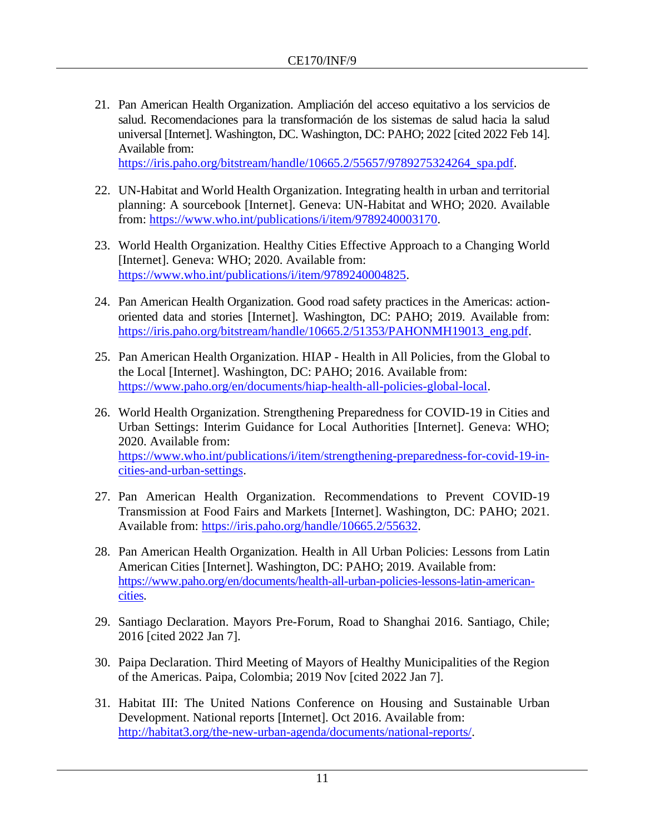21. Pan American Health Organization. Ampliación del acceso equitativo a los servicios de salud. Recomendaciones para la transformación de los sistemas de salud hacia la salud universal [Internet]. Washington, DC. Washington, DC: PAHO; 2022 [cited 2022 Feb 14]. Available from:

[https://iris.paho.org/bitstream/handle/10665.2/55657/9789275324264\\_spa.pdf.](https://iris.paho.org/bitstream/handle/10665.2/55657/9789275324264_spa.pdf)

- 22. UN-Habitat and World Health Organization. Integrating health in urban and territorial planning: A sourcebook [Internet]. Geneva: UN-Habitat and WHO; 2020. Available from: [https://www.who.int/publications/i/item/9789240003170.](https://www.who.int/publications/i/item/9789240003170)
- 23. World Health Organization. Healthy Cities Effective Approach to a Changing World [Internet]. Geneva: WHO; 2020. Available from: [https://www.who.int/publications/i/item/9789240004825.](https://www.who.int/publications/i/item/9789240004825)
- 24. Pan American Health Organization. Good road safety practices in the Americas: actionoriented data and stories [Internet]. Washington, DC: PAHO; 2019. Available from: [https://iris.paho.org/bitstream/handle/10665.2/51353/PAHONMH19013\\_eng.pdf.](https://iris.paho.org/bitstream/handle/10665.2/51353/PAHONMH19013_eng.pdf)
- 25. Pan American Health Organization. HIAP Health in All Policies, from the Global to the Local [Internet]. Washington, DC: PAHO; 2016. Available from: [https://www.paho.org/en/documents/hiap-health-all-policies-global-local.](https://www.paho.org/en/documents/hiap-health-all-policies-global-local)
- 26. World Health Organization. Strengthening Preparedness for COVID-19 in Cities and Urban Settings: Interim Guidance for Local Authorities [Internet]. Geneva: WHO; 2020. Available from: [https://www.who.int/publications/i/item/strengthening-preparedness-for-covid-19-in](https://www.who.int/publications/i/item/strengthening-preparedness-for-covid-19-in-cities-and-urban-settings)[cities-and-urban-settings.](https://www.who.int/publications/i/item/strengthening-preparedness-for-covid-19-in-cities-and-urban-settings)
- 27. Pan American Health Organization. Recommendations to Prevent COVID-19 Transmission at Food Fairs and Markets [Internet]. Washington, DC: PAHO; 2021. Available from: [https://iris.paho.org/handle/10665.2/55632.](https://iris.paho.org/handle/10665.2/55632)
- 28. Pan American Health Organization. Health in All Urban Policies: Lessons from Latin American Cities [Internet]. Washington, DC: PAHO; 2019. Available from: [https://www.paho.org/en/documents/health-all-urban-policies-lessons-latin-american](https://www.paho.org/en/documents/health-all-urban-policies-lessons-latin-american-cities)[cities.](https://www.paho.org/en/documents/health-all-urban-policies-lessons-latin-american-cities)
- 29. Santiago Declaration. Mayors Pre-Forum, Road to Shanghai 2016. Santiago, Chile; 2016 [cited 2022 Jan 7].
- 30. Paipa Declaration. Third Meeting of Mayors of Healthy Municipalities of the Region of the Americas. Paipa, Colombia; 2019 Nov [cited 2022 Jan 7].
- 31. Habitat III: The United Nations Conference on Housing and Sustainable Urban Development. National reports [Internet]. Oct 2016. Available from: [http://habitat3.org/the-new-urban-agenda/documents/national-reports/.](http://habitat3.org/the-new-urban-agenda/documents/national-reports/)